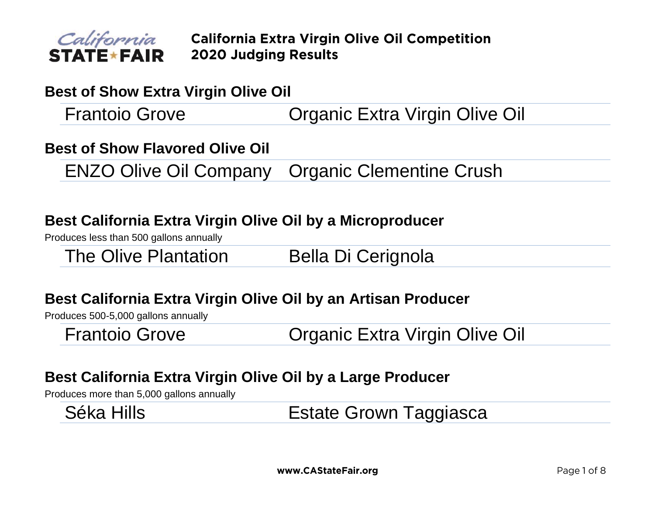

## **Best of Show Extra Virgin Olive Oil**

Frantoio Grove Organic Extra Virgin Olive Oil

## **Best of Show Flavored Olive Oil**

ENZO Olive Oil Company Organic Clementine Crush

# **Best California Extra Virgin Olive Oil by a Microproducer**

Produces less than 500 gallons annually

The Olive Plantation Bella Di Cerignola

# **Best California Extra Virgin Olive Oil by an Artisan Producer**

Produces 500-5,000 gallons annually

Frantoio Grove Organic Extra Virgin Olive Oil

# **Best California Extra Virgin Olive Oil by a Large Producer**

Produces more than 5,000 gallons annually

| Séka Hills | <b>Estate Grown Taggiasca</b> |
|------------|-------------------------------|
|            |                               |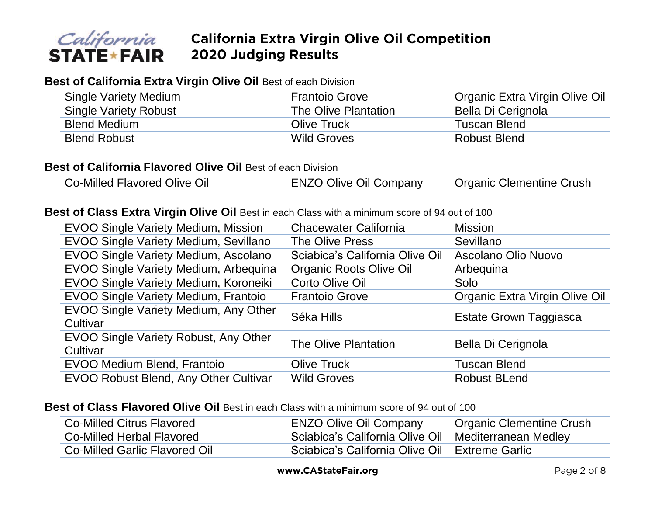

#### **Best of California Extra Virgin Olive Oil** Best of each Division

| Single Variety Medium        | <b>Frantoio Grove</b> | Organic Extra Virgin Olive Oil |
|------------------------------|-----------------------|--------------------------------|
| <b>Single Variety Robust</b> | The Olive Plantation  | Bella Di Cerignola             |
| <b>Blend Medium</b>          | Olive Truck           | Tuscan Blend                   |
| <b>Blend Robust</b>          | <b>Wild Groves</b>    | Robust Blend                   |

#### **Best of California Flavored Olive Oil Best of each Division**

Co-Milled Flavored Olive Oil **ENZO Olive Oil Company** Organic Clementine Crush

#### **Best of Class Extra Virgin Olive Oil** Best in each Class with a minimum score of 94 out of 100

| EVOO Single Variety Medium, Mission               | <b>Chacewater California</b>    | <b>Mission</b>                 |
|---------------------------------------------------|---------------------------------|--------------------------------|
| EVOO Single Variety Medium, Sevillano             | The Olive Press                 | Sevillano                      |
| EVOO Single Variety Medium, Ascolano              | Sciabica's California Olive Oil | Ascolano Olio Nuovo            |
| EVOO Single Variety Medium, Arbequina             | <b>Organic Roots Olive Oil</b>  | Arbeguina                      |
| EVOO Single Variety Medium, Koroneiki             | Corto Olive Oil                 | Solo                           |
| EVOO Single Variety Medium, Frantoio              | <b>Frantoio Grove</b>           | Organic Extra Virgin Olive Oil |
| EVOO Single Variety Medium, Any Other<br>Cultivar | Séka Hills                      | <b>Estate Grown Taggiasca</b>  |
| EVOO Single Variety Robust, Any Other<br>Cultivar | The Olive Plantation            | Bella Di Cerignola             |
| <b>EVOO Medium Blend, Frantoio</b>                | <b>Olive Truck</b>              | Tuscan Blend                   |
| EVOO Robust Blend, Any Other Cultivar             | <b>Wild Groves</b>              | <b>Robust BLend</b>            |

#### **Best of Class Flavored Olive Oil Best in each Class with a minimum score of 94 out of 100**

| Co-Milled Citrus Flavored     | <b>ENZO Olive Oil Company</b>                        | <b>Organic Clementine Crush</b> |
|-------------------------------|------------------------------------------------------|---------------------------------|
| Co-Milled Herbal Flavored     | Sciabica's California Olive Oil Mediterranean Medley |                                 |
| Co-Milled Garlic Flavored Oil | Sciabica's California Olive Oil Extreme Garlic       |                                 |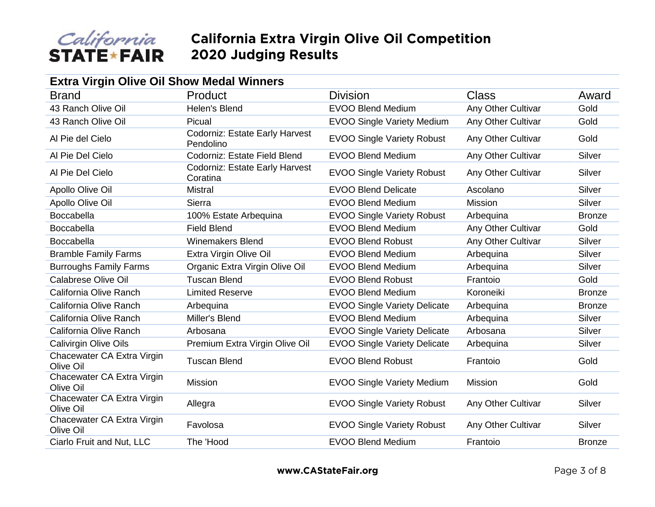

| <b>Extra Virgin Olive Oil Show Medal Winners</b> |                                                    |                                     |                    |               |
|--------------------------------------------------|----------------------------------------------------|-------------------------------------|--------------------|---------------|
| <b>Brand</b>                                     | Product                                            | <b>Division</b>                     | Class              | Award         |
| 43 Ranch Olive Oil                               | Helen's Blend                                      | <b>EVOO Blend Medium</b>            | Any Other Cultivar | Gold          |
| 43 Ranch Olive Oil                               | Picual                                             | <b>EVOO Single Variety Medium</b>   | Any Other Cultivar | Gold          |
| Al Pie del Cielo                                 | <b>Codorniz: Estate Early Harvest</b><br>Pendolino | <b>EVOO Single Variety Robust</b>   | Any Other Cultivar | Gold          |
| Al Pie Del Cielo                                 | Codorniz: Estate Field Blend                       | <b>EVOO Blend Medium</b>            | Any Other Cultivar | Silver        |
| Al Pie Del Cielo                                 | <b>Codorniz: Estate Early Harvest</b><br>Coratina  | <b>EVOO Single Variety Robust</b>   | Any Other Cultivar | Silver        |
| Apollo Olive Oil                                 | <b>Mistral</b>                                     | <b>EVOO Blend Delicate</b>          | Ascolano           | Silver        |
| Apollo Olive Oil                                 | Sierra                                             | <b>EVOO Blend Medium</b>            | <b>Mission</b>     | Silver        |
| Boccabella                                       | 100% Estate Arbequina                              | <b>EVOO Single Variety Robust</b>   | Arbequina          | <b>Bronze</b> |
| Boccabella                                       | <b>Field Blend</b>                                 | <b>EVOO Blend Medium</b>            | Any Other Cultivar | Gold          |
| Boccabella                                       | <b>Winemakers Blend</b>                            | <b>EVOO Blend Robust</b>            | Any Other Cultivar | Silver        |
| <b>Bramble Family Farms</b>                      | Extra Virgin Olive Oil                             | <b>EVOO Blend Medium</b>            | Arbequina          | Silver        |
| <b>Burroughs Family Farms</b>                    | Organic Extra Virgin Olive Oil                     | <b>EVOO Blend Medium</b>            | Arbequina          | Silver        |
| Calabrese Olive Oil                              | <b>Tuscan Blend</b>                                | <b>EVOO Blend Robust</b>            | Frantoio           | Gold          |
| California Olive Ranch                           | <b>Limited Reserve</b>                             | <b>EVOO Blend Medium</b>            | Koroneiki          | <b>Bronze</b> |
| California Olive Ranch                           | Arbequina                                          | <b>EVOO Single Variety Delicate</b> | Arbequina          | <b>Bronze</b> |
| California Olive Ranch                           | Miller's Blend                                     | <b>EVOO Blend Medium</b>            | Arbequina          | Silver        |
| California Olive Ranch                           | Arbosana                                           | <b>EVOO Single Variety Delicate</b> | Arbosana           | Silver        |
| Calivirgin Olive Oils                            | Premium Extra Virgin Olive Oil                     | <b>EVOO Single Variety Delicate</b> | Arbequina          | Silver        |
| Chacewater CA Extra Virgin<br>Olive Oil          | <b>Tuscan Blend</b>                                | <b>EVOO Blend Robust</b>            | Frantoio           | Gold          |
| Chacewater CA Extra Virgin<br>Olive Oil          | <b>Mission</b>                                     | <b>EVOO Single Variety Medium</b>   | Mission            | Gold          |
| Chacewater CA Extra Virgin<br>Olive Oil          | Allegra                                            | <b>EVOO Single Variety Robust</b>   | Any Other Cultivar | Silver        |
| Chacewater CA Extra Virgin<br>Olive Oil          | Favolosa                                           | <b>EVOO Single Variety Robust</b>   | Any Other Cultivar | Silver        |
| Ciarlo Fruit and Nut, LLC                        | The 'Hood                                          | <b>EVOO Blend Medium</b>            | Frantoio           | <b>Bronze</b> |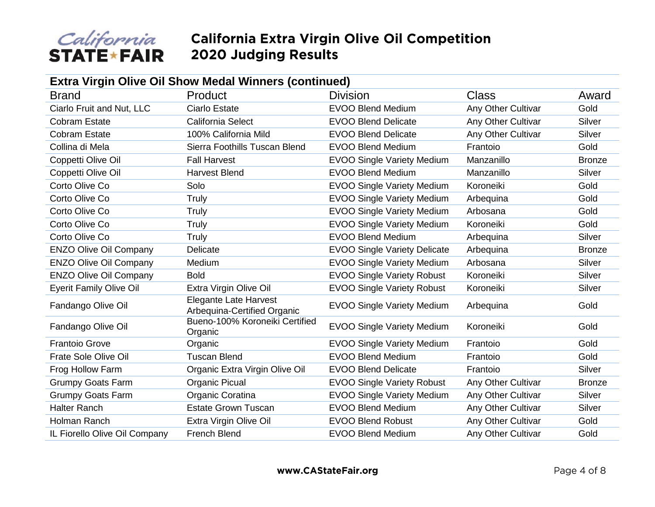

| Extra Virgin Olive Oil Show Medal Winners (continued) |                                                             |                                     |                    |               |  |
|-------------------------------------------------------|-------------------------------------------------------------|-------------------------------------|--------------------|---------------|--|
| <b>Brand</b>                                          | Product                                                     | <b>Division</b>                     | <b>Class</b>       | Award         |  |
| Ciarlo Fruit and Nut, LLC                             | <b>Ciarlo Estate</b>                                        | <b>EVOO Blend Medium</b>            | Any Other Cultivar | Gold          |  |
| <b>Cobram Estate</b>                                  | <b>California Select</b>                                    | <b>EVOO Blend Delicate</b>          | Any Other Cultivar | Silver        |  |
| <b>Cobram Estate</b>                                  | 100% California Mild                                        | <b>EVOO Blend Delicate</b>          | Any Other Cultivar | Silver        |  |
| Collina di Mela                                       | Sierra Foothills Tuscan Blend                               | <b>EVOO Blend Medium</b>            | Frantoio           | Gold          |  |
| Coppetti Olive Oil                                    | <b>Fall Harvest</b>                                         | <b>EVOO Single Variety Medium</b>   | Manzanillo         | <b>Bronze</b> |  |
| Coppetti Olive Oil                                    | <b>Harvest Blend</b>                                        | <b>EVOO Blend Medium</b>            | Manzanillo         | Silver        |  |
| Corto Olive Co                                        | Solo                                                        | <b>EVOO Single Variety Medium</b>   | Koroneiki          | Gold          |  |
| Corto Olive Co                                        | Truly                                                       | <b>EVOO Single Variety Medium</b>   | Arbequina          | Gold          |  |
| Corto Olive Co                                        | Truly                                                       | <b>EVOO Single Variety Medium</b>   | Arbosana           | Gold          |  |
| Corto Olive Co                                        | Truly                                                       | <b>EVOO Single Variety Medium</b>   | Koroneiki          | Gold          |  |
| Corto Olive Co                                        | Truly                                                       | <b>EVOO Blend Medium</b>            | Arbequina          | Silver        |  |
| <b>ENZO Olive Oil Company</b>                         | Delicate                                                    | <b>EVOO Single Variety Delicate</b> | Arbequina          | <b>Bronze</b> |  |
| <b>ENZO Olive Oil Company</b>                         | Medium                                                      | <b>EVOO Single Variety Medium</b>   | Arbosana           | Silver        |  |
| <b>ENZO Olive Oil Company</b>                         | <b>Bold</b>                                                 | <b>EVOO Single Variety Robust</b>   | Koroneiki          | Silver        |  |
| <b>Eyerit Family Olive Oil</b>                        | Extra Virgin Olive Oil                                      | <b>EVOO Single Variety Robust</b>   | Koroneiki          | Silver        |  |
| Fandango Olive Oil                                    | <b>Elegante Late Harvest</b><br>Arbequina-Certified Organic | <b>EVOO Single Variety Medium</b>   | Arbequina          | Gold          |  |
| Fandango Olive Oil                                    | Bueno-100% Koroneiki Certified<br>Organic                   | <b>EVOO Single Variety Medium</b>   | Koroneiki          | Gold          |  |
| <b>Frantoio Grove</b>                                 | Organic                                                     | <b>EVOO Single Variety Medium</b>   | Frantoio           | Gold          |  |
| <b>Frate Sole Olive Oil</b>                           | <b>Tuscan Blend</b>                                         | <b>EVOO Blend Medium</b>            | Frantoio           | Gold          |  |
| Frog Hollow Farm                                      | Organic Extra Virgin Olive Oil                              | <b>EVOO Blend Delicate</b>          | Frantoio           | Silver        |  |
| <b>Grumpy Goats Farm</b>                              | Organic Picual                                              | <b>EVOO Single Variety Robust</b>   | Any Other Cultivar | <b>Bronze</b> |  |
| <b>Grumpy Goats Farm</b>                              | Organic Coratina                                            | <b>EVOO Single Variety Medium</b>   | Any Other Cultivar | Silver        |  |
| <b>Halter Ranch</b>                                   | <b>Estate Grown Tuscan</b>                                  | <b>EVOO Blend Medium</b>            | Any Other Cultivar | Silver        |  |
| Holman Ranch                                          | Extra Virgin Olive Oil                                      | <b>EVOO Blend Robust</b>            | Any Other Cultivar | Gold          |  |
| IL Fiorello Olive Oil Company                         | <b>French Blend</b>                                         | <b>EVOO Blend Medium</b>            | Any Other Cultivar | Gold          |  |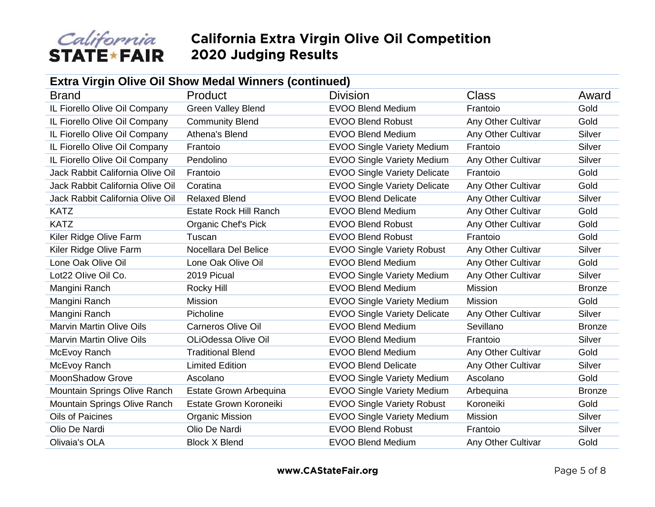

| <b>Extra Virgin Olive Oil Show Medal Winners (continued)</b> |                               |                                     |                    |               |  |
|--------------------------------------------------------------|-------------------------------|-------------------------------------|--------------------|---------------|--|
| <b>Brand</b>                                                 | Product                       | <b>Division</b>                     | Class              | Award         |  |
| IL Fiorello Olive Oil Company                                | <b>Green Valley Blend</b>     | <b>EVOO Blend Medium</b>            | Frantoio           | Gold          |  |
| IL Fiorello Olive Oil Company                                | <b>Community Blend</b>        | <b>EVOO Blend Robust</b>            | Any Other Cultivar | Gold          |  |
| IL Fiorello Olive Oil Company                                | Athena's Blend                | <b>EVOO Blend Medium</b>            | Any Other Cultivar | Silver        |  |
| IL Fiorello Olive Oil Company                                | Frantoio                      | <b>EVOO Single Variety Medium</b>   | Frantoio           | Silver        |  |
| IL Fiorello Olive Oil Company                                | Pendolino                     | <b>EVOO Single Variety Medium</b>   | Any Other Cultivar | Silver        |  |
| Jack Rabbit California Olive Oil                             | Frantoio                      | <b>EVOO Single Variety Delicate</b> | Frantoio           | Gold          |  |
| Jack Rabbit California Olive Oil                             | Coratina                      | <b>EVOO Single Variety Delicate</b> | Any Other Cultivar | Gold          |  |
| Jack Rabbit California Olive Oil                             | <b>Relaxed Blend</b>          | <b>EVOO Blend Delicate</b>          | Any Other Cultivar | Silver        |  |
| <b>KATZ</b>                                                  | <b>Estate Rock Hill Ranch</b> | <b>EVOO Blend Medium</b>            | Any Other Cultivar | Gold          |  |
| <b>KATZ</b>                                                  | <b>Organic Chef's Pick</b>    | <b>EVOO Blend Robust</b>            | Any Other Cultivar | Gold          |  |
| Kiler Ridge Olive Farm                                       | Tuscan                        | <b>EVOO Blend Robust</b>            | Frantoio           | Gold          |  |
| Kiler Ridge Olive Farm                                       | Nocellara Del Belice          | <b>EVOO Single Variety Robust</b>   | Any Other Cultivar | Silver        |  |
| Lone Oak Olive Oil                                           | Lone Oak Olive Oil            | <b>EVOO Blend Medium</b>            | Any Other Cultivar | Gold          |  |
| Lot22 Olive Oil Co.                                          | 2019 Picual                   | <b>EVOO Single Variety Medium</b>   | Any Other Cultivar | Silver        |  |
| Mangini Ranch                                                | Rocky Hill                    | <b>EVOO Blend Medium</b>            | <b>Mission</b>     | <b>Bronze</b> |  |
| Mangini Ranch                                                | <b>Mission</b>                | <b>EVOO Single Variety Medium</b>   | <b>Mission</b>     | Gold          |  |
| Mangini Ranch                                                | Picholine                     | <b>EVOO Single Variety Delicate</b> | Any Other Cultivar | Silver        |  |
| <b>Marvin Martin Olive Oils</b>                              | <b>Carneros Olive Oil</b>     | <b>EVOO Blend Medium</b>            | Sevillano          | <b>Bronze</b> |  |
| <b>Marvin Martin Olive Oils</b>                              | OLiOdessa Olive Oil           | <b>EVOO Blend Medium</b>            | Frantoio           | Silver        |  |
| McEvoy Ranch                                                 | <b>Traditional Blend</b>      | <b>EVOO Blend Medium</b>            | Any Other Cultivar | Gold          |  |
| McEvoy Ranch                                                 | <b>Limited Edition</b>        | <b>EVOO Blend Delicate</b>          | Any Other Cultivar | Silver        |  |
| <b>MoonShadow Grove</b>                                      | Ascolano                      | <b>EVOO Single Variety Medium</b>   | Ascolano           | Gold          |  |
| Mountain Springs Olive Ranch                                 | Estate Grown Arbequina        | <b>EVOO Single Variety Medium</b>   | Arbequina          | <b>Bronze</b> |  |
| Mountain Springs Olive Ranch                                 | Estate Grown Koroneiki        | <b>EVOO Single Variety Robust</b>   | Koroneiki          | Gold          |  |
| Oils of Paicines                                             | <b>Organic Mission</b>        | <b>EVOO Single Variety Medium</b>   | Mission            | Silver        |  |
| Olio De Nardi                                                | Olio De Nardi                 | <b>EVOO Blend Robust</b>            | Frantoio           | Silver        |  |
| Olivaia's OLA                                                | <b>Block X Blend</b>          | <b>EVOO Blend Medium</b>            | Any Other Cultivar | Gold          |  |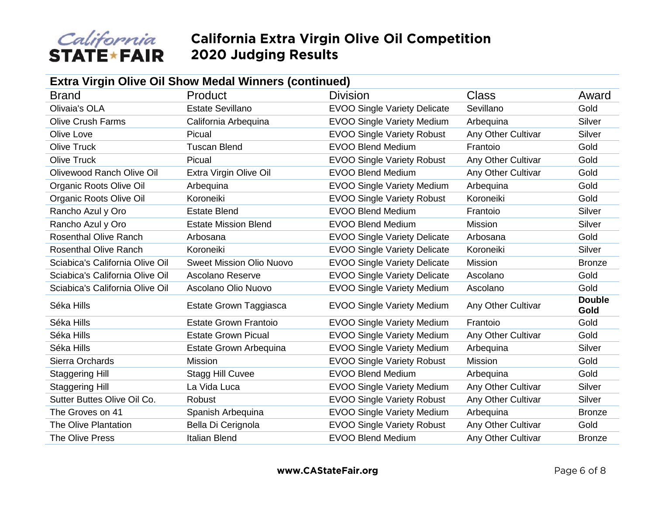

| <b>Extra Virgin Olive Oil Show Medal Winners (continued)</b> |                                 |                                     |                    |                       |  |  |
|--------------------------------------------------------------|---------------------------------|-------------------------------------|--------------------|-----------------------|--|--|
| <b>Brand</b>                                                 | Product                         | <b>Division</b>                     | Class              | Award                 |  |  |
| <b>Olivaia's OLA</b>                                         | <b>Estate Sevillano</b>         | <b>EVOO Single Variety Delicate</b> | Sevillano          | Gold                  |  |  |
| <b>Olive Crush Farms</b>                                     | California Arbequina            | <b>EVOO Single Variety Medium</b>   | Arbequina          | Silver                |  |  |
| Olive Love                                                   | Picual                          | <b>EVOO Single Variety Robust</b>   | Any Other Cultivar | Silver                |  |  |
| <b>Olive Truck</b>                                           | <b>Tuscan Blend</b>             | <b>EVOO Blend Medium</b>            | Frantoio           | Gold                  |  |  |
| <b>Olive Truck</b>                                           | Picual                          | <b>EVOO Single Variety Robust</b>   | Any Other Cultivar | Gold                  |  |  |
| Olivewood Ranch Olive Oil                                    | Extra Virgin Olive Oil          | <b>EVOO Blend Medium</b>            | Any Other Cultivar | Gold                  |  |  |
| Organic Roots Olive Oil                                      | Arbequina                       | <b>EVOO Single Variety Medium</b>   | Arbequina          | Gold                  |  |  |
| Organic Roots Olive Oil                                      | Koroneiki                       | <b>EVOO Single Variety Robust</b>   | Koroneiki          | Gold                  |  |  |
| Rancho Azul y Oro                                            | <b>Estate Blend</b>             | <b>EVOO Blend Medium</b>            | Frantoio           | Silver                |  |  |
| Rancho Azul y Oro                                            | <b>Estate Mission Blend</b>     | <b>EVOO Blend Medium</b>            | <b>Mission</b>     | Silver                |  |  |
| <b>Rosenthal Olive Ranch</b>                                 | Arbosana                        | <b>EVOO Single Variety Delicate</b> | Arbosana           | Gold                  |  |  |
| <b>Rosenthal Olive Ranch</b>                                 | Koroneiki                       | <b>EVOO Single Variety Delicate</b> | Koroneiki          | Silver                |  |  |
| Sciabica's California Olive Oil                              | <b>Sweet Mission Olio Nuovo</b> | <b>EVOO Single Variety Delicate</b> | Mission            | <b>Bronze</b>         |  |  |
| Sciabica's California Olive Oil                              | Ascolano Reserve                | <b>EVOO Single Variety Delicate</b> | Ascolano           | Gold                  |  |  |
| Sciabica's California Olive Oil                              | Ascolano Olio Nuovo             | <b>EVOO Single Variety Medium</b>   | Ascolano           | Gold                  |  |  |
| Séka Hills                                                   | Estate Grown Taggiasca          | <b>EVOO Single Variety Medium</b>   | Any Other Cultivar | <b>Double</b><br>Gold |  |  |
| Séka Hills                                                   | <b>Estate Grown Frantoio</b>    | <b>EVOO Single Variety Medium</b>   | Frantoio           | Gold                  |  |  |
| Séka Hills                                                   | <b>Estate Grown Picual</b>      | <b>EVOO Single Variety Medium</b>   | Any Other Cultivar | Gold                  |  |  |
| Séka Hills                                                   | Estate Grown Arbequina          | <b>EVOO Single Variety Medium</b>   | Arbequina          | Silver                |  |  |
| Sierra Orchards                                              | <b>Mission</b>                  | <b>EVOO Single Variety Robust</b>   | Mission            | Gold                  |  |  |
| <b>Staggering Hill</b>                                       | Stagg Hill Cuvee                | <b>EVOO Blend Medium</b>            | Arbequina          | Gold                  |  |  |
| <b>Staggering Hill</b>                                       | La Vida Luca                    | <b>EVOO Single Variety Medium</b>   | Any Other Cultivar | Silver                |  |  |
| Sutter Buttes Olive Oil Co.                                  | Robust                          | <b>EVOO Single Variety Robust</b>   | Any Other Cultivar | Silver                |  |  |
| The Groves on 41                                             | Spanish Arbequina               | <b>EVOO Single Variety Medium</b>   | Arbequina          | <b>Bronze</b>         |  |  |
| <b>The Olive Plantation</b>                                  | Bella Di Cerignola              | <b>EVOO Single Variety Robust</b>   | Any Other Cultivar | Gold                  |  |  |
| <b>The Olive Press</b>                                       | <b>Italian Blend</b>            | <b>EVOO Blend Medium</b>            | Any Other Cultivar | <b>Bronze</b>         |  |  |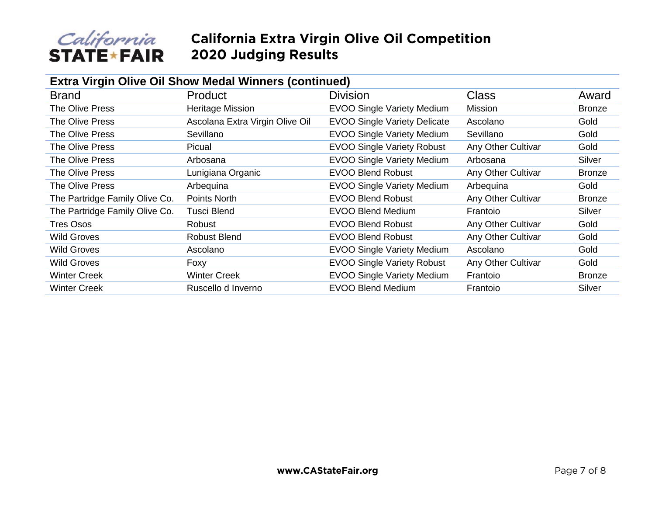

# *California* California Extra Virgin Olive Oil Competition<br>STATE★FAIR 2020 Judging Results

| <b>Extra Virgin Olive Oil Show Medal Winners (continued)</b> |                                 |                                     |                    |               |  |
|--------------------------------------------------------------|---------------------------------|-------------------------------------|--------------------|---------------|--|
| <b>Brand</b>                                                 | <b>Product</b>                  | <b>Division</b>                     | <b>Class</b>       | Award         |  |
| <b>The Olive Press</b>                                       | <b>Heritage Mission</b>         | <b>EVOO Single Variety Medium</b>   | Mission            | <b>Bronze</b> |  |
| The Olive Press                                              | Ascolana Extra Virgin Olive Oil | <b>EVOO Single Variety Delicate</b> | Ascolano           | Gold          |  |
| The Olive Press                                              | Sevillano                       | <b>EVOO Single Variety Medium</b>   | Sevillano          | Gold          |  |
| <b>The Olive Press</b>                                       | Picual                          | <b>EVOO Single Variety Robust</b>   | Any Other Cultivar | Gold          |  |
| <b>The Olive Press</b>                                       | Arbosana                        | <b>EVOO Single Variety Medium</b>   | Arbosana           | Silver        |  |
| <b>The Olive Press</b>                                       | Lunigiana Organic               | <b>EVOO Blend Robust</b>            | Any Other Cultivar | <b>Bronze</b> |  |
| <b>The Olive Press</b>                                       | Arbeguina                       | <b>EVOO Single Variety Medium</b>   | Arbequina          | Gold          |  |
| The Partridge Family Olive Co.                               | Points North                    | <b>EVOO Blend Robust</b>            | Any Other Cultivar | <b>Bronze</b> |  |
| The Partridge Family Olive Co.                               | <b>Tusci Blend</b>              | <b>EVOO Blend Medium</b>            | Frantoio           | Silver        |  |
| Tres Osos                                                    | Robust                          | <b>EVOO Blend Robust</b>            | Any Other Cultivar | Gold          |  |
| <b>Wild Groves</b>                                           | <b>Robust Blend</b>             | <b>EVOO Blend Robust</b>            | Any Other Cultivar | Gold          |  |
| <b>Wild Groves</b>                                           | Ascolano                        | <b>EVOO Single Variety Medium</b>   | Ascolano           | Gold          |  |
| <b>Wild Groves</b>                                           | Foxy                            | <b>EVOO Single Variety Robust</b>   | Any Other Cultivar | Gold          |  |
| <b>Winter Creek</b>                                          | <b>Winter Creek</b>             | <b>EVOO Single Variety Medium</b>   | Frantoio           | <b>Bronze</b> |  |
| <b>Winter Creek</b>                                          | Ruscello d Inverno              | <b>EVOO Blend Medium</b>            | Frantoio           | Silver        |  |